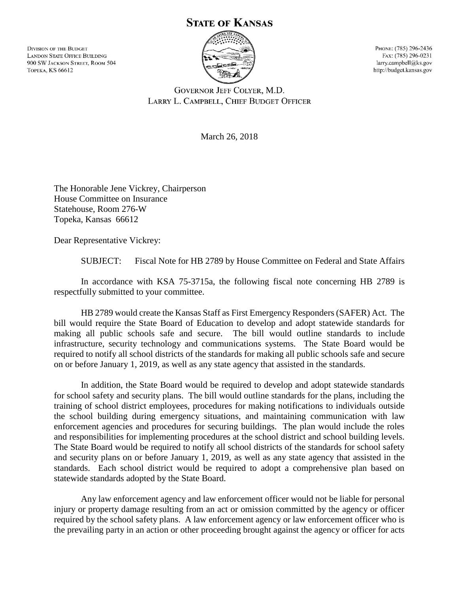## **STATE OF KANSAS**

**DIVISION OF THE BUDGET LANDON STATE OFFICE BUILDING** 900 SW JACKSON STREET, ROOM 504 **ТОРЕКА, KS 66612** 



PHONE: (785) 296-2436 FAX: (785) 296-0231 larry.campbell@ks.gov http://budget.kansas.gov

**GOVERNOR JEFF COLYER, M.D.** LARRY L. CAMPBELL, CHIEF BUDGET OFFICER

March 26, 2018

The Honorable Jene Vickrey, Chairperson House Committee on Insurance Statehouse, Room 276-W Topeka, Kansas 66612

Dear Representative Vickrey:

SUBJECT: Fiscal Note for HB 2789 by House Committee on Federal and State Affairs

In accordance with KSA 75-3715a, the following fiscal note concerning HB 2789 is respectfully submitted to your committee.

HB 2789 would create the Kansas Staff as First Emergency Responders (SAFER) Act. The bill would require the State Board of Education to develop and adopt statewide standards for making all public schools safe and secure. The bill would outline standards to include infrastructure, security technology and communications systems. The State Board would be required to notify all school districts of the standards for making all public schools safe and secure on or before January 1, 2019, as well as any state agency that assisted in the standards.

In addition, the State Board would be required to develop and adopt statewide standards for school safety and security plans. The bill would outline standards for the plans, including the training of school district employees, procedures for making notifications to individuals outside the school building during emergency situations, and maintaining communication with law enforcement agencies and procedures for securing buildings. The plan would include the roles and responsibilities for implementing procedures at the school district and school building levels. The State Board would be required to notify all school districts of the standards for school safety and security plans on or before January 1, 2019, as well as any state agency that assisted in the standards. Each school district would be required to adopt a comprehensive plan based on statewide standards adopted by the State Board.

Any law enforcement agency and law enforcement officer would not be liable for personal injury or property damage resulting from an act or omission committed by the agency or officer required by the school safety plans. A law enforcement agency or law enforcement officer who is the prevailing party in an action or other proceeding brought against the agency or officer for acts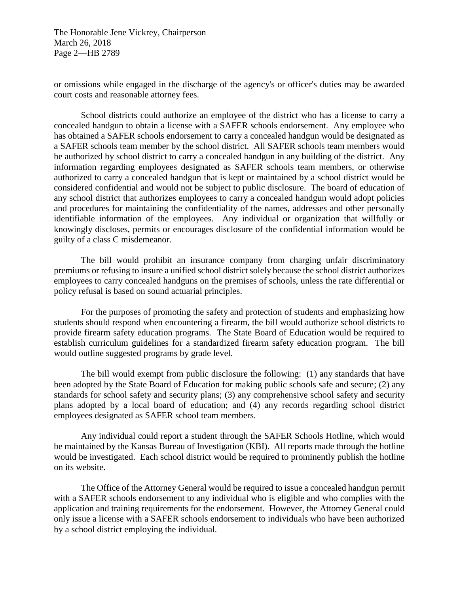The Honorable Jene Vickrey, Chairperson March 26, 2018 Page 2—HB 2789

or omissions while engaged in the discharge of the agency's or officer's duties may be awarded court costs and reasonable attorney fees.

School districts could authorize an employee of the district who has a license to carry a concealed handgun to obtain a license with a SAFER schools endorsement. Any employee who has obtained a SAFER schools endorsement to carry a concealed handgun would be designated as a SAFER schools team member by the school district. All SAFER schools team members would be authorized by school district to carry a concealed handgun in any building of the district. Any information regarding employees designated as SAFER schools team members, or otherwise authorized to carry a concealed handgun that is kept or maintained by a school district would be considered confidential and would not be subject to public disclosure. The board of education of any school district that authorizes employees to carry a concealed handgun would adopt policies and procedures for maintaining the confidentiality of the names, addresses and other personally identifiable information of the employees. Any individual or organization that willfully or knowingly discloses, permits or encourages disclosure of the confidential information would be guilty of a class C misdemeanor.

The bill would prohibit an insurance company from charging unfair discriminatory premiums or refusing to insure a unified school district solely because the school district authorizes employees to carry concealed handguns on the premises of schools, unless the rate differential or policy refusal is based on sound actuarial principles.

For the purposes of promoting the safety and protection of students and emphasizing how students should respond when encountering a firearm, the bill would authorize school districts to provide firearm safety education programs. The State Board of Education would be required to establish curriculum guidelines for a standardized firearm safety education program. The bill would outline suggested programs by grade level.

The bill would exempt from public disclosure the following: (1) any standards that have been adopted by the State Board of Education for making public schools safe and secure; (2) any standards for school safety and security plans; (3) any comprehensive school safety and security plans adopted by a local board of education; and (4) any records regarding school district employees designated as SAFER school team members.

Any individual could report a student through the SAFER Schools Hotline, which would be maintained by the Kansas Bureau of Investigation (KBI). All reports made through the hotline would be investigated. Each school district would be required to prominently publish the hotline on its website.

The Office of the Attorney General would be required to issue a concealed handgun permit with a SAFER schools endorsement to any individual who is eligible and who complies with the application and training requirements for the endorsement. However, the Attorney General could only issue a license with a SAFER schools endorsement to individuals who have been authorized by a school district employing the individual.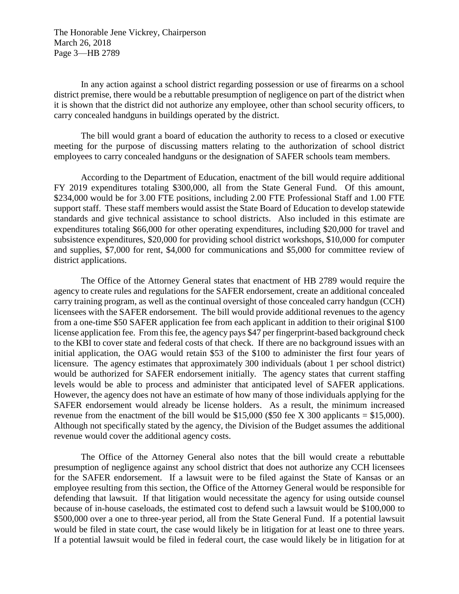The Honorable Jene Vickrey, Chairperson March 26, 2018 Page 3—HB 2789

In any action against a school district regarding possession or use of firearms on a school district premise, there would be a rebuttable presumption of negligence on part of the district when it is shown that the district did not authorize any employee, other than school security officers, to carry concealed handguns in buildings operated by the district.

The bill would grant a board of education the authority to recess to a closed or executive meeting for the purpose of discussing matters relating to the authorization of school district employees to carry concealed handguns or the designation of SAFER schools team members.

According to the Department of Education, enactment of the bill would require additional FY 2019 expenditures totaling \$300,000, all from the State General Fund. Of this amount, \$234,000 would be for 3.00 FTE positions, including 2.00 FTE Professional Staff and 1.00 FTE support staff. These staff members would assist the State Board of Education to develop statewide standards and give technical assistance to school districts. Also included in this estimate are expenditures totaling \$66,000 for other operating expenditures, including \$20,000 for travel and subsistence expenditures, \$20,000 for providing school district workshops, \$10,000 for computer and supplies, \$7,000 for rent, \$4,000 for communications and \$5,000 for committee review of district applications.

The Office of the Attorney General states that enactment of HB 2789 would require the agency to create rules and regulations for the SAFER endorsement, create an additional concealed carry training program, as well as the continual oversight of those concealed carry handgun (CCH) licensees with the SAFER endorsement. The bill would provide additional revenues to the agency from a one-time \$50 SAFER application fee from each applicant in addition to their original \$100 license application fee. From this fee, the agency pays \$47 per fingerprint-based background check to the KBI to cover state and federal costs of that check. If there are no background issues with an initial application, the OAG would retain \$53 of the \$100 to administer the first four years of licensure. The agency estimates that approximately 300 individuals (about 1 per school district) would be authorized for SAFER endorsement initially. The agency states that current staffing levels would be able to process and administer that anticipated level of SAFER applications. However, the agency does not have an estimate of how many of those individuals applying for the SAFER endorsement would already be license holders. As a result, the minimum increased revenue from the enactment of the bill would be \$15,000 (\$50 fee X 300 applicants = \$15,000). Although not specifically stated by the agency, the Division of the Budget assumes the additional revenue would cover the additional agency costs.

The Office of the Attorney General also notes that the bill would create a rebuttable presumption of negligence against any school district that does not authorize any CCH licensees for the SAFER endorsement. If a lawsuit were to be filed against the State of Kansas or an employee resulting from this section, the Office of the Attorney General would be responsible for defending that lawsuit. If that litigation would necessitate the agency for using outside counsel because of in-house caseloads, the estimated cost to defend such a lawsuit would be \$100,000 to \$500,000 over a one to three-year period, all from the State General Fund. If a potential lawsuit would be filed in state court, the case would likely be in litigation for at least one to three years. If a potential lawsuit would be filed in federal court, the case would likely be in litigation for at